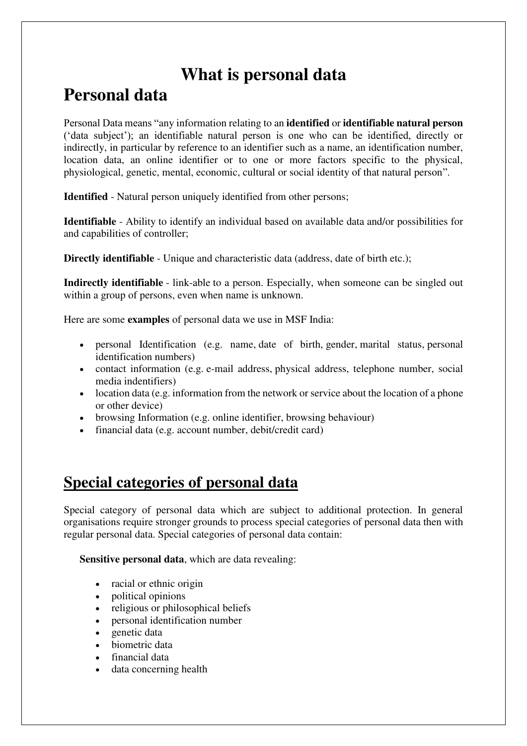# **What is personal data**

# **Personal data**

Personal Data means "any information relating to an **identified** or **identifiable natural person**  ('data subject'); an identifiable natural person is one who can be identified, directly or indirectly, in particular by reference to an identifier such as a name, an identification number, location data, an online identifier or to one or more factors specific to the physical, physiological, genetic, mental, economic, cultural or social identity of that natural person".

**Identified** - Natural person uniquely identified from other persons;

**Identifiable** - Ability to identify an individual based on available data and/or possibilities for and capabilities of controller;

**Directly identifiable** - Unique and characteristic data (address, date of birth etc.);

**Indirectly identifiable** - link-able to a person. Especially, when someone can be singled out within a group of persons, even when name is unknown.

Here are some **examples** of personal data we use in MSF India:

- personal Identification (e.g. name, date of birth, gender, marital status, personal identification numbers)
- contact information (e.g. e-mail address, physical address, telephone number, social media indentifiers)
- location data (e.g. information from the network or service about the location of a phone or other device)
- browsing Information (e.g. online identifier, browsing behaviour)
- financial data (e.g. account number, debit/credit card)

## **Special categories of personal data**

Special category of personal data which are subject to additional protection. In general organisations require stronger grounds to process special categories of personal data then with regular personal data. Special categories of personal data contain:

**Sensitive personal data**, which are data revealing:

- racial or ethnic origin
- political opinions
- religious or philosophical beliefs
- personal identification number
- $\bullet$  genetic data
- biometric data
- financial data
- data concerning health